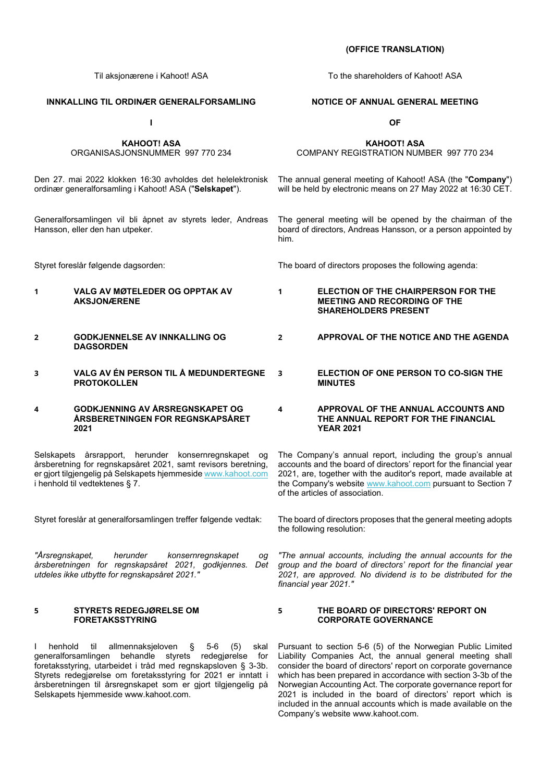#### **INNKALLING TIL ORDINÆR GENERALFORSAMLING**

**I** 

**KAHOOT! ASA**  ORGANISASJONSNUMMER 997 770 234

Den 27. mai 2022 klokken 16:30 avholdes det helelektronisk ordinær generalforsamling i Kahoot! ASA ("**Selskapet**").

Generalforsamlingen vil bli åpnet av styrets leder, Andreas Hansson, eller den han utpeker.

- **1 VALG AV MØTELEDER OG OPPTAK AV AKSJONÆRENE**
- **2 GODKJENNELSE AV INNKALLING OG DAGSORDEN**
- **3 VALG AV ÉN PERSON TIL Å MEDUNDERTEGNE PROTOKOLLEN**

#### **4 GODKJENNING AV ÅRSREGNSKAPET OG ÅRSBERETNINGEN FOR REGNSKAPSÅRET 2021**

Selskapets årsrapport, herunder konsernregnskapet og årsberetning for regnskapsåret 2021, samt revisors beretning, er gjort tilgjengelig på Selskapets hjemmesid[e www.kahoot.com](http://www.kahoot.com/) i henhold til vedtektenes § 7.

*"Årsregnskapet, herunder konsernregnskapet og årsberetningen for regnskapsåret 2021, godkjennes. Det utdeles ikke utbytte for regnskapsåret 2021."*

#### **5 STYRETS REDEGJØRELSE OM FORETAKSSTYRING**

I henhold til allmennaksjeloven § 5-6 (5) skal generalforsamlingen behandle styrets redegjørelse for foretaksstyring, utarbeidet i tråd med regnskapsloven § 3-3b. Styrets redegjørelse om foretaksstyring for 2021 er inntatt i årsberetningen til årsregnskapet som er gjort tilgjengelig på Selskapets hjemmesid[e www.kahoot.com.](http://www.kahoot.com/)

Til aksjonærene i Kahoot! ASA To the shareholders of Kahoot! ASA

#### **NOTICE OF ANNUAL GENERAL MEETING**

**OF**

**KAHOOT! ASA**

COMPANY REGISTRATION NUMBER 997 770 234

The annual general meeting of Kahoot! ASA (the "**Company**") will be held by electronic means on 27 May 2022 at 16:30 CET.

The general meeting will be opened by the chairman of the board of directors, Andreas Hansson, or a person appointed by him.

Styret foreslår følgende dagsorden: The board of directors proposes the following agenda:

- **1 ELECTION OF THE CHAIRPERSON FOR THE MEETING AND RECORDING OF THE SHAREHOLDERS PRESENT**
	- **2 APPROVAL OF THE NOTICE AND THE AGENDA**
	- **3 ELECTION OF ONE PERSON TO CO-SIGN THE MINUTES**

#### **4 APPROVAL OF THE ANNUAL ACCOUNTS AND THE ANNUAL REPORT FOR THE FINANCIAL YEAR 2021**

The Company's annual report, including the group's annual accounts and the board of directors' report for the financial year 2021, are, together with the auditor's report, made available at the Company's website [www.kahoot.com](http://www.kahoot.com/) pursuant to Section 7 of the articles of association.

Styret foreslår at generalforsamlingen treffer følgende vedtak: The board of directors proposes that the general meeting adopts the following resolution:

> *"The annual accounts, including the annual accounts for the group and the board of directors' report for the financial year 2021, are approved. No dividend is to be distributed for the financial year 2021."*

#### **5 THE BOARD OF DIRECTORS' REPORT ON CORPORATE GOVERNANCE**

Pursuant to section 5-6 (5) of the Norwegian Public Limited Liability Companies Act, the annual general meeting shall consider the board of directors' report on corporate governance which has been prepared in accordance with section 3-3b of the Norwegian Accounting Act. The corporate governance report for 2021 is included in the board of directors' report which is included in the annual accounts which is made available on the Company's website [www.kahoot.com.](http://www.kahoot.com/)

#### **(OFFICE TRANSLATION)**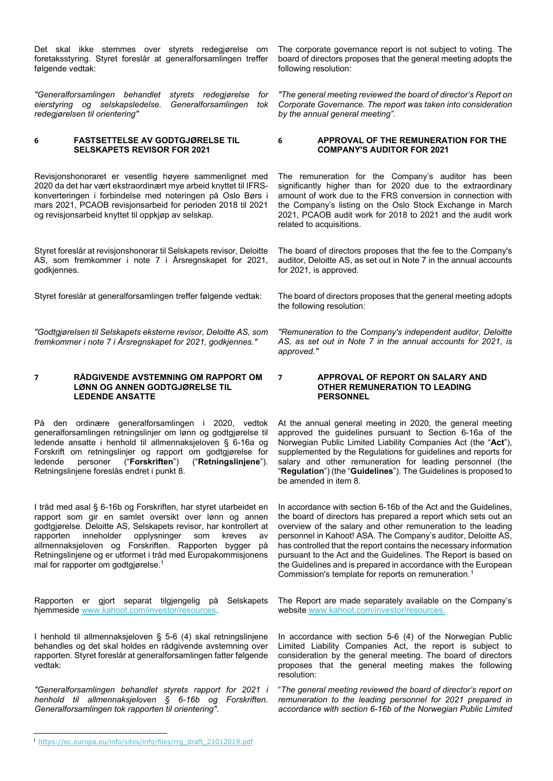Det skal ikke stemmes over styrets redegjørelse om foretaksstyring. Styret foreslår at generalforsamlingen treffer følgende vedtak:

*"Generalforsamlingen behandlet styrets redegjørelse for eierstyring og selskapsledelse. Generalforsamlingen tok redegjørelsen til orientering"*

#### **6 FASTSETTELSE AV GODTGJØRELSE TIL SELSKAPETS REVISOR FOR 2021**

Revisjonshonoraret er vesentlig høyere sammenlignet med 2020 da det har vært ekstraordinært mye arbeid knyttet til IFRSkonverteringen i forbindelse med noteringen på Oslo Børs i mars 2021, PCAOB revisjonsarbeid for perioden 2018 til 2021 og revisjonsarbeid knyttet til oppkjøp av selskap.

Styret foreslår at revisjonshonorar til Selskapets revisor, Deloitte AS, som fremkommer i note 7 i Årsregnskapet for 2021, godkjennes.

*"Godtgjørelsen til Selskapets eksterne revisor, Deloitte AS, som fremkommer i note 7 i Årsregnskapet for 2021, godkjennes."*

#### **7 RÅDGIVENDE AVSTEMNING OM RAPPORT OM LØNN OG ANNEN GODTGJØRELSE TIL LEDENDE ANSATTE**

På den ordinære generalforsamlingen i 2020, vedtok generalforsamlingen retningslinjer om lønn og godtgjørelse til ledende ansatte i henhold til allmennaksjeloven § 6-16a og Forskrift om retningslinjer og rapport om godtgjørelse for ledende personer ("Forskriften") ("Retningslinjene"). ledende personer ("**Forskriften**") ("**Retningslinjene**"). Retningslinjene foreslås endret i punkt 8.

I tråd med asal § 6-16b og Forskriften, har styret utarbeidet en rapport som gir en samlet oversikt over lønn og annen godtgjørelse. Deloitte AS, Selskapets revisor, har kontrollert at rapporten inneholder opplysninger som kreves av allmennaksjeloven og Forskriften. Rapporten bygger på Retningslinjene og er utformet i tråd med Europakommisjonens mal for rapporter om godtgjørelse.<sup>1</sup>

Rapporten er gjort separat tilgjengelig på Selskapets hjemmeside [www.kahoot.com/](http://www.kahoot.com/)investor/resources.

I henhold til allmennaksjeloven § 5-6 (4) skal retningslinjene behandles og det skal holdes en rådgivende avstemning over rapporten. Styret foreslår at generalforsamlingen fatter følgende vedtak:

*"Generalforsamlingen behandlet styrets rapport for 2021 i henhold til allmennaksjeloven § 6-16b og Forskriften. Generalforsamlingen tok rapporten til orientering"*.

The corporate governance report is not subject to voting. The board of directors proposes that the general meeting adopts the following resolution:

*"The general meeting reviewed the board of director's Report on Corporate Governance. The report was taken into consideration by the annual general meeting".* 

#### **6 APPROVAL OF THE REMUNERATION FOR THE COMPANY'S AUDITOR FOR 2021**

The remuneration for the Company's auditor has been significantly higher than for 2020 due to the extraordinary amount of work due to the FRS conversion in connection with the Company's listing on the Oslo Stock Exchange in March 2021, PCAOB audit work for 2018 to 2021 and the audit work related to acquisitions.

The board of directors proposes that the fee to the Company's auditor, Deloitte AS, as set out in Note 7 in the annual accounts for 2021, is approved.

Styret foreslår at generalforsamlingen treffer følgende vedtak: The board of directors proposes that the general meeting adopts the following resolution:

> *"Remuneration to the Company's independent auditor, Deloitte AS, as set out in Note 7 in the annual accounts for 2021, is approved."*

#### **7 APPROVAL OF REPORT ON SALARY AND OTHER REMUNERATION TO LEADING PERSONNEL**

At the annual general meeting in 2020, the general meeting approved the guidelines pursuant to Section 6-16a of the Norwegian Public Limited Liability Companies Act (the "**Act**"), supplemented by the Regulations for guidelines and reports for salary and other remuneration for leading personnel (the "**Regulation**") (the "**Guidelines**"). The Guidelines is proposed to be amended in item 8.

In accordance with section 6-16b of the Act and the Guidelines, the board of directors has prepared a report which sets out an overview of the salary and other remuneration to the leading personnel in Kahoot! ASA. The Company's auditor, Deloitte AS, has controlled that the report contains the necessary information pursuant to the Act and the Guidelines. The Report is based on the Guidelines and is prepared in accordance with the European Commission's template for reports on remuneration.[1](#page-1-0)

The Report are made separately available on the Company's websit[e www.kahoot.com/](http://www.kahoot.com/)investor/resources.

In accordance with section 5-6 (4) of the Norwegian Public Limited Liability Companies Act, the report is subject to consideration by the general meeting. The board of directors proposes that the general meeting makes the following resolution:

"*The general meeting reviewed the board of director's report on remuneration to the leading personnel for 2021 prepared in accordance with section 6-16b of the Norwegian Public Limited* 

<span id="page-1-0"></span><sup>1</sup> [https://ec.europa.eu/info/sites/info/files/rrg\\_draft\\_21012019.pdf](https://ec.europa.eu/info/sites/info/files/rrg_draft_21012019.pdf)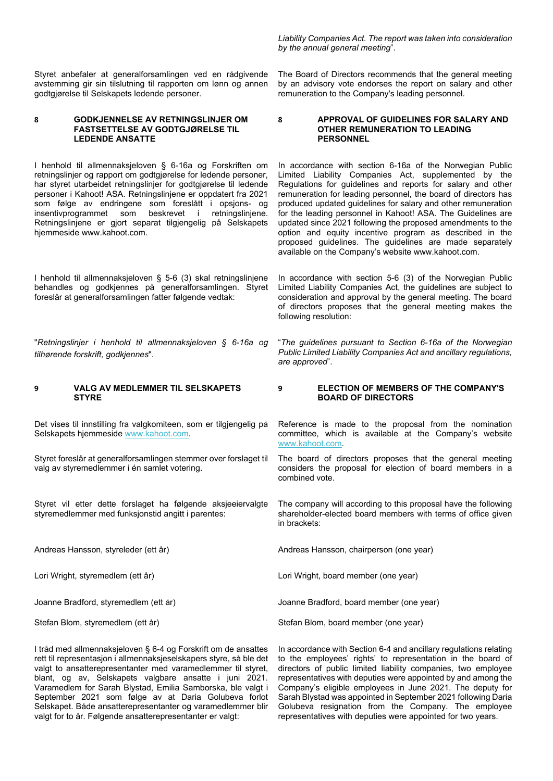Styret anbefaler at generalforsamlingen ved en rådgivende avstemming gir sin tilslutning til rapporten om lønn og annen godtgjørelse til Selskapets ledende personer.

#### **8 GODKJENNELSE AV RETNINGSLINJER OM FASTSETTELSE AV GODTGJØRELSE TIL LEDENDE ANSATTE**

I henhold til allmennaksjeloven § 6-16a og Forskriften om retningslinjer og rapport om godtgjørelse for ledende personer, har styret utarbeidet retningslinjer for godtgjørelse til ledende personer i Kahoot! ASA. Retningslinjene er oppdatert fra 2021 som følge av endringene som foreslått i opsjons- og<br>insentivprogrammet som beskrevet i retningslinjene. insentivprogrammet som Retningslinjene er gjort separat tilgjengelig på Selskapets hjemmeside www.kahoot.com.

I henhold til allmennaksjeloven § 5-6 (3) skal retningslinjene behandles og godkjennes på generalforsamlingen. Styret foreslår at generalforsamlingen fatter følgende vedtak:

"*Retningslinjer i henhold til allmennaksjeloven § 6-16a og tilhørende forskrift, godkjennes*".

#### **9 VALG AV MEDLEMMER TIL SELSKAPETS STYRE**

Det vises til innstilling fra valgkomiteen, som er tilgjengelig på Selskapets hjemmesid[e www.kahoot.com.](http://www.kahoot.com/)

Styret foreslår at generalforsamlingen stemmer over forslaget til valg av styremedlemmer i én samlet votering.

Styret vil etter dette forslaget ha følgende aksjeeiervalgte styremedlemmer med funksjonstid angitt i parentes:

Joanne Bradford, styremedlem (ett år)

Stefan Blom, styremedlem (ett år)

I tråd med allmennaksjeloven § 6-4 og Forskrift om de ansattes rett til representasjon i allmennaksjeselskapers styre, så ble det valgt to ansatterepresentanter med varamedlemmer til styret, blant, og av, Selskapets valgbare ansatte i juni 2021. Varamedlem for Sarah Blystad, Emilia Samborska, ble valgt i September 2021 som følge av at Daria Golubeva forlot Selskapet. Både ansatterepresentanter og varamedlemmer blir valgt for to år. Følgende ansatterepresentanter er valgt:

*Liability Companies Act. The report was taken into consideration by the annual general meeting*".

The Board of Directors recommends that the general meeting by an advisory vote endorses the report on salary and other remuneration to the Company's leading personnel.

#### **8 APPROVAL OF GUIDELINES FOR SALARY AND OTHER REMUNERATION TO LEADING PERSONNEL**

In accordance with section 6-16a of the Norwegian Public Limited Liability Companies Act, supplemented by the Regulations for guidelines and reports for salary and other remuneration for leading personnel, the board of directors has produced updated guidelines for salary and other remuneration for the leading personnel in Kahoot! ASA. The Guidelines are updated since 2021 following the proposed amendments to the option and equity incentive program as described in the proposed guidelines. The guidelines are made separately available on the Company's website www.kahoot.com.

In accordance with section 5-6 (3) of the Norwegian Public Limited Liability Companies Act, the guidelines are subject to consideration and approval by the general meeting. The board of directors proposes that the general meeting makes the following resolution:

"*The guidelines pursuant to Section 6-16a of the Norwegian Public Limited Liability Companies Act and ancillary regulations, are approved*".

#### **9 ELECTION OF MEMBERS OF THE COMPANY'S BOARD OF DIRECTORS**

Reference is made to the proposal from the nomination committee, which is available at the Company's website [www.kahoot.com.](http://www.kahoot.com/)

The board of directors proposes that the general meeting considers the proposal for election of board members in a combined vote.

The company will according to this proposal have the following shareholder-elected board members with terms of office given in brackets:

Andreas Hansson, styreleder (ett år) Andreas Hansson, chairperson (one year)

Lori Wright, styremedlem (ett år) Lori Wright, board member (one year)

Joanne Bradford, board member (one year)

Stefan Blom, board member (one year)

In accordance with Section 6-4 and ancillary regulations relating to the employees' rights' to representation in the board of directors of public limited liability companies, two employee representatives with deputies were appointed by and among the Company's eligible employees in June 2021. The deputy for Sarah Blystad was appointed in September 2021 following Daria Golubeva resignation from the Company. The employee representatives with deputies were appointed for two years.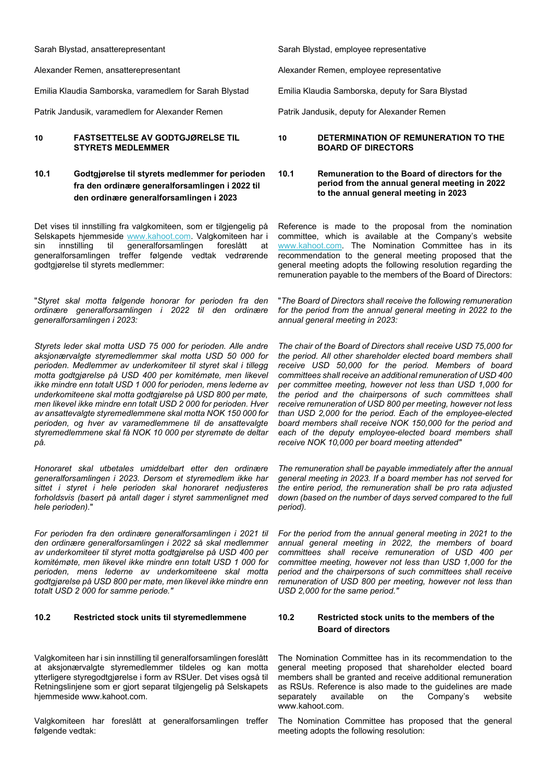Sarah Blystad, ansatterepresentant

Alexander Remen, ansatterepresentant

Emilia Klaudia Samborska, varamedlem for Sarah Blystad

Patrik Jandusik, varamedlem for Alexander Remen

#### **10 FASTSETTELSE AV GODTGJØRELSE TIL STYRETS MEDLEMMER**

## **10.1 Godtgjørelse til styrets medlemmer for perioden fra den ordinære generalforsamlingen i 2022 til den ordinære generalforsamlingen i 2023**

Det vises til innstilling fra valgkomiteen, som er tilgjengelig på Selskapets hjemmeside [www.kahoot.com.](http://www.kahoot.com/) Valgkomiteen har i sin innstilling til generalforsamlingen foreslått at generalforsamlingen treffer følgende vedtak vedrørende godtgjørelse til styrets medlemmer:

"*Styret skal motta følgende honorar for perioden fra den ordinære generalforsamlingen i 2022 til den ordinære generalforsamlingen i 2023:* 

*Styrets leder skal motta USD 75 000 for perioden. Alle andre aksjonærvalgte styremedlemmer skal motta USD 50 000 for perioden. Medlemmer av underkomiteer til styret skal i tillegg motta godtgjørelse på USD 400 per komitémøte, men likevel ikke mindre enn totalt USD 1 000 for perioden, mens lederne av underkomiteene skal motta godtgjørelse på USD 800 per møte, men likevel ikke mindre enn totalt USD 2 000 for perioden. Hver av ansattevalgte styremedlemmene skal motta NOK 150 000 for perioden, og hver av varamedlemmene til de ansattevalgte styremedlemmene skal få NOK 10 000 per styremøte de deltar på.*

*Honoraret skal utbetales umiddelbart etter den ordinære generalforsamlingen i 2023. Dersom et styremedlem ikke har sittet i styret i hele perioden skal honoraret nedjusteres forholdsvis (basert på antall dager i styret sammenlignet med hele perioden).*"

*For perioden fra den ordinære generalforsamlingen i 2021 til den ordinære generalforsamlingen i 2022 så skal medlemmer av underkomiteer til styret motta godtgjørelse på USD 400 per komitémøte, men likevel ikke mindre enn totalt USD 1 000 for perioden, mens lederne av underkomiteene skal motta godtgjørelse på USD 800 per møte, men likevel ikke mindre enn totalt USD 2 000 for samme periode."* 

## **10.2 Restricted stock units til styremedlemmene 10.2 Restricted stock units to the members of the**

Valgkomiteen har i sin innstilling til generalforsamlingen foreslått at aksjonærvalgte styremedlemmer tildeles og kan motta ytterligere styregodtgjørelse i form av RSUer. Det vises også til Retningslinjene som er gjort separat tilgjengelig på Selskapets hjemmeside www.kahoot.com.

Valgkomiteen har foreslått at generalforsamlingen treffer følgende vedtak:

Sarah Blystad, employee representative

Alexander Remen, employee representative

Emilia Klaudia Samborska, deputy for Sara Blystad

Patrik Jandusik, deputy for Alexander Remen

#### **10 DETERMINATION OF REMUNERATION TO THE BOARD OF DIRECTORS**

#### **10.1 Remuneration to the Board of directors for the period from the annual general meeting in 2022 to the annual general meeting in 2023**

Reference is made to the proposal from the nomination committee, which is available at the Company's website [www.kahoot.com.](http://www.kahoot.com/) The Nomination Committee has in its recommendation to the general meeting proposed that the general meeting adopts the following resolution regarding the remuneration payable to the members of the Board of Directors:

"*The Board of Directors shall receive the following remuneration for the period from the annual general meeting in 2022 to the annual general meeting in 2023:*

*The chair of the Board of Directors shall receive USD 75,000 for the period. All other shareholder elected board members shall receive USD 50,000 for the period. Members of board committees shall receive an additional remuneration of USD 400 per committee meeting, however not less than USD 1,000 for the period and the chairpersons of such committees shall receive remuneration of USD 800 per meeting, however not less than USD 2,000 for the period. Each of the employee-elected board members shall receive NOK 150,000 for the period and each of the deputy employee-elected board members shall receive NOK 10,000 per board meeting attended"* 

*The remuneration shall be payable immediately after the annual general meeting in 2023. If a board member has not served for the entire period, the remuneration shall be pro rata adjusted down (based on the number of days served compared to the full period).*

*For the period from the annual general meeting in 2021 to the annual general meeting in 2022, the members of board committees shall receive remuneration of USD 400 per committee meeting, however not less than USD 1,000 for the period and the chairpersons of such committees shall receive remuneration of USD 800 per meeting, however not less than USD 2,000 for the same period."*

# **Board of directors**

The Nomination Committee has in its recommendation to the general meeting proposed that shareholder elected board members shall be granted and receive additional remuneration as RSUs. Reference is also made to the guidelines are made<br>separately available on the Company's website separately available on the Company's website www.kahoot.com.

The Nomination Committee has proposed that the general meeting adopts the following resolution: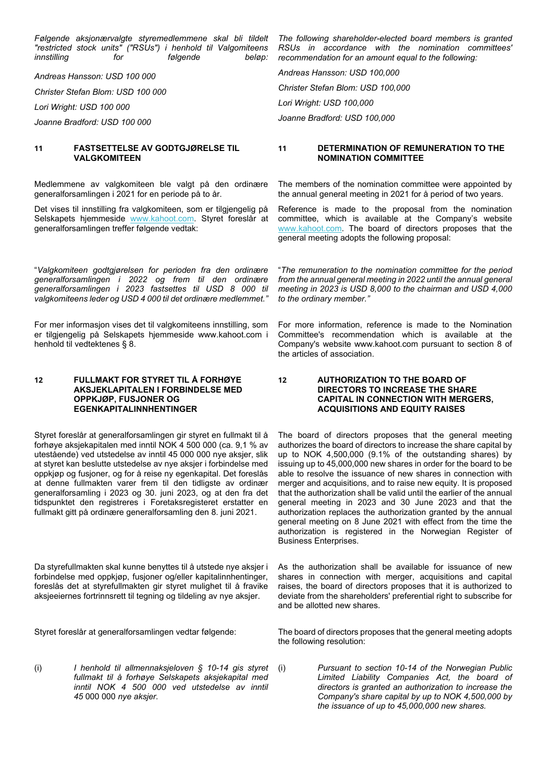*Følgende aksjonærvalgte styremedlemmene skal bli tildelt "restricted stock units" ("RSUs") i henhold til Valgomiteens innstilling for følgende beløp:*

*Andreas Hansson: USD 100 000*

*Christer Stefan Blom: USD 100 000*

*Lori Wright: USD 100 000*

*Joanne Bradford: USD 100 000*

#### **11 FASTSETTELSE AV GODTGJØRELSE TIL VALGKOMITEEN**

Medlemmene av valgkomiteen ble valgt på den ordinære generalforsamlingen i 2021 for en periode på to år.

Det vises til innstilling fra valgkomiteen, som er tilgjengelig på Selskapets hjemmeside [www.kahoot.com.](http://www.kahoot.com/) Styret foreslår at generalforsamlingen treffer følgende vedtak:

"*Valgkomiteen godtgjørelsen for perioden fra den ordinære generalforsamlingen i 2022 og frem til den ordinære generalforsamlingen i 2023 fastsettes til USD 8 000 til valgkomiteens leder og USD 4 000 til det ordinære medlemmet."*

For mer informasjon vises det til valgkomiteens innstilling, som er tilgjengelig på Selskapets hjemmeside www.kahoot.com i henhold til vedtektenes § 8.

#### **12 FULLMAKT FOR STYRET TIL Å FORHØYE AKSJEKLAPITALEN I FORBINDELSE MED OPPKJØP, FUSJONER OG EGENKAPITALINNHENTINGER**

Styret foreslår at generalforsamlingen gir styret en fullmakt til å forhøye aksjekapitalen med inntil NOK 4 500 000 (ca. 9,1 % av utestående) ved utstedelse av inntil 45 000 000 nye aksjer, slik at styret kan beslutte utstedelse av nye aksjer i forbindelse med oppkjøp og fusjoner, og for å reise ny egenkapital. Det foreslås at denne fullmakten varer frem til den tidligste av ordinær generalforsamling i 2023 og 30. juni 2023, og at den fra det tidspunktet den registreres i Foretaksregisteret erstatter en fullmakt gitt på ordinære generalforsamling den 8. juni 2021.

Da styrefullmakten skal kunne benyttes til å utstede nye aksjer i forbindelse med oppkjøp, fusjoner og/eller kapitalinnhentinger, foreslås det at styrefullmakten gir styret mulighet til å fravike aksjeeiernes fortrinnsrett til tegning og tildeling av nye aksjer.

(i) *I henhold til allmennaksjeloven § 10-14 gis styret fullmakt til å forhøye Selskapets aksjekapital med inntil NOK 4 500 000 ved utstedelse av inntil 45* 000 000 *nye aksjer.* 

*The following shareholder-elected board members is granted RSUs in accordance with the nomination committees' recommendation for an amount equal to the following:* 

*Andreas Hansson: USD 100,000 Christer Stefan Blom: USD 100,000 Lori Wright: USD 100,000 Joanne Bradford: USD 100,000*

#### **11 DETERMINATION OF REMUNERATION TO THE NOMINATION COMMITTEE**

The members of the nomination committee were appointed by the annual general meeting in 2021 for å period of two years.

Reference is made to the proposal from the nomination committee, which is available at the Company's website [www.kahoot.com.](http://www.kahoot.com/) The board of directors proposes that the general meeting adopts the following proposal:

"*The remuneration to the nomination committee for the period from the annual general meeting in 2022 until the annual general meeting in 2023 is USD 8,000 to the chairman and USD 4,000 to the ordinary member."*

For more information, reference is made to the Nomination Committee's recommendation which is available at the Company's website www.kahoot.com pursuant to section 8 of the articles of association.

#### **12 AUTHORIZATION TO THE BOARD OF DIRECTORS TO INCREASE THE SHARE CAPITAL IN CONNECTION WITH MERGERS, ACQUISITIONS AND EQUITY RAISES**

The board of directors proposes that the general meeting authorizes the board of directors to increase the share capital by up to NOK 4,500,000 (9.1% of the outstanding shares) by issuing up to 45,000,000 new shares in order for the board to be able to resolve the issuance of new shares in connection with merger and acquisitions, and to raise new equity. It is proposed that the authorization shall be valid until the earlier of the annual general meeting in 2023 and 30 June 2023 and that the authorization replaces the authorization granted by the annual general meeting on 8 June 2021 with effect from the time the authorization is registered in the Norwegian Register of Business Enterprises.

As the authorization shall be available for issuance of new shares in connection with merger, acquisitions and capital raises, the board of directors proposes that it is authorized to deviate from the shareholders' preferential right to subscribe for and be allotted new shares.

Styret foreslår at generalforsamlingen vedtar følgende: The board of directors proposes that the general meeting adopts the following resolution:

> (i) *Pursuant to section 10-14 of the Norwegian Public Limited Liability Companies Act, the board of directors is granted an authorization to increase the Company's share capital by up to NOK 4,500,000 by the issuance of up to 45,000,000 new shares.*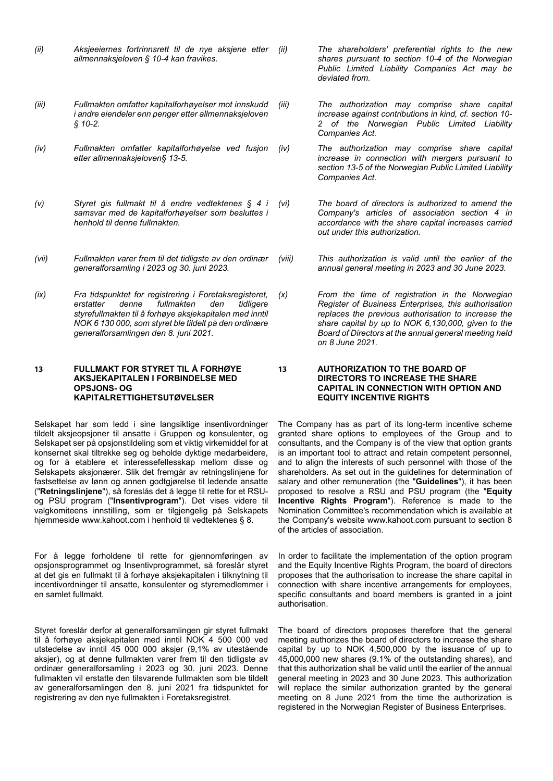- *(ii) Aksjeeiernes fortrinnsrett til de nye aksjene etter allmennaksjeloven § 10-4 kan fravikes.*
- *(iii) Fullmakten omfatter kapitalforhøyelser mot innskudd i andre eiendeler enn penger etter allmennaksjeloven § 10-2.*
- *(iv) Fullmakten omfatter kapitalforhøyelse ved fusjon etter allmennaksjeloven§ 13-5.*
- *(v) Styret gis fullmakt til å endre vedtektenes § 4 i samsvar med de kapitalforhøyelser som besluttes i henhold til denne fullmakten.*
- *(vii) Fullmakten varer frem til det tidligste av den ordinær generalforsamling i 2023 og 30. juni 2023.*
- *(ix) Fra tidspunktet for registrering i Foretaksregisteret, erstatter denne fullmakten den tidligere styrefullmakten til å forhøye aksjekapitalen med inntil NOK 6 130 000, som styret ble tildelt på den ordinære generalforsamlingen den 8. juni 2021.*

#### **13 FULLMAKT FOR STYRET TIL Å FORHØYE AKSJEKAPITALEN I FORBINDELSE MED OPSJONS- OG KAPITALRETTIGHETSUTØVELSER**

Selskapet har som ledd i sine langsiktige insentivordninger tildelt aksjeopsjoner til ansatte i Gruppen og konsulenter, og Selskapet ser på opsjonstildeling som et viktig virkemiddel for at konsernet skal tiltrekke seg og beholde dyktige medarbeidere, og for å etablere et interessefellesskap mellom disse og Selskapets aksjonærer. Slik det fremgår av retningslinjene for fastsettelse av lønn og annen godtgjørelse til ledende ansatte ("**Retningslinjene**"), så foreslås det å legge til rette for et RSUog PSU program ("**Insentivprogram**"). Det vises videre til valgkomiteens innstilling, som er tilgjengelig på Selskapets hjemmeside www.kahoot.com i henhold til vedtektenes § 8.

For å legge forholdene til rette for gjennomføringen av opsjonsprogrammet og Insentivprogrammet, så foreslår styret at det gis en fullmakt til å forhøye aksjekapitalen i tilknytning til incentivordninger til ansatte, konsulenter og styremedlemmer i en samlet fullmakt.

Styret foreslår derfor at generalforsamlingen gir styret fullmakt til å forhøye aksjekapitalen med inntil NOK 4 500 000 ved utstedelse av inntil 45 000 000 aksjer (9,1% av utestående aksjer), og at denne fullmakten varer frem til den tidligste av ordinær generalforsamling i 2023 og 30. juni 2023. Denne fullmakten vil erstatte den tilsvarende fullmakten som ble tildelt av generalforsamlingen den 8. juni 2021 fra tidspunktet for registrering av den nye fullmakten i Foretaksregistret.

*(ii) The shareholders' preferential rights to the new shares pursuant to section 10-4 of the Norwegian Public Limited Liability Companies Act may be deviated from.*

*(iii) The authorization may comprise share capital increase against contributions in kind, cf. section 10- 2 of the Norwegian Public Limited Liability Companies Act.*

*(iv) The authorization may comprise share capital increase in connection with mergers pursuant to section 13-5 of the Norwegian Public Limited Liability Companies Act.*

*(vi) The board of directors is authorized to amend the Company's articles of association section 4 in accordance with the share capital increases carried out under this authorization.*

*(viii) This authorization is valid until the earlier of the annual general meeting in 2023 and 30 June 2023.*

*(x) From the time of registration in the Norwegian Register of Business Enterprises, this authorisation replaces the previous authorisation to increase the share capital by up to NOK 6,130,000, given to the Board of Directors at the annual general meeting held on 8 June 2021.*

#### **13 AUTHORIZATION TO THE BOARD OF DIRECTORS TO INCREASE THE SHARE CAPITAL IN CONNECTION WITH OPTION AND EQUITY INCENTIVE RIGHTS**

The Company has as part of its long-term incentive scheme granted share options to employees of the Group and to consultants, and the Company is of the view that option grants is an important tool to attract and retain competent personnel, and to align the interests of such personnel with those of the shareholders. As set out in the guidelines for determination of salary and other remuneration (the "**Guidelines**"), it has been proposed to resolve a RSU and PSU program (the "**Equity Incentive Rights Program**"). Reference is made to the Nomination Committee's recommendation which is available at the Company's website www.kahoot.com pursuant to section 8 of the articles of association.

In order to facilitate the implementation of the option program and the Equity Incentive Rights Program, the board of directors proposes that the authorisation to increase the share capital in connection with share incentive arrangements for employees, specific consultants and board members is granted in a joint authorisation.

The board of directors proposes therefore that the general meeting authorizes the board of directors to increase the share capital by up to NOK 4,500,000 by the issuance of up to 45,000,000 new shares (9.1% of the outstanding shares), and that this authorization shall be valid until the earlier of the annual general meeting in 2023 and 30 June 2023. This authorization will replace the similar authorization granted by the general meeting on 8 June 2021 from the time the authorization is registered in the Norwegian Register of Business Enterprises.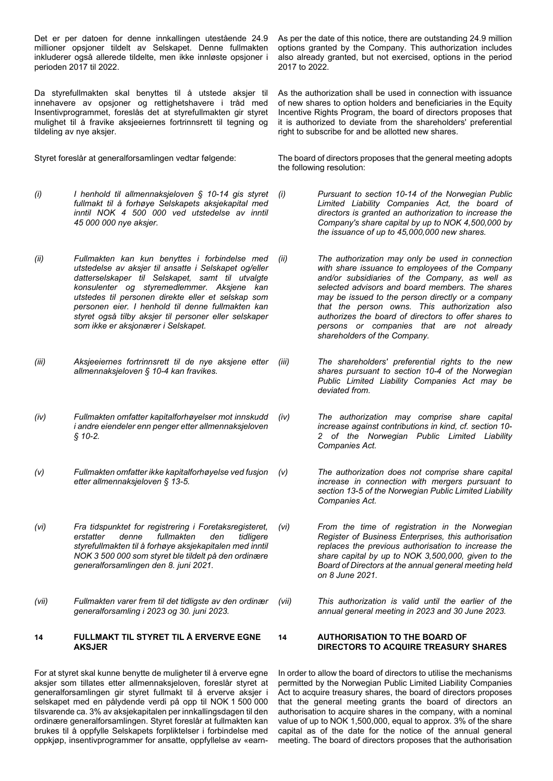Det er per datoen for denne innkallingen utestående 24.9 millioner opsjoner tildelt av Selskapet. Denne fullmakten inkluderer også allerede tildelte, men ikke innløste opsjoner i perioden 2017 til 2022.

Da styrefullmakten skal benyttes til å utstede aksjer til innehavere av opsjoner og rettighetshavere i tråd med Insentivprogrammet, foreslås det at styrefullmakten gir styret mulighet til å fravike aksjeeiernes fortrinnsrett til tegning og tildeling av nye aksjer.

- *(i) I henhold til allmennaksjeloven § 10-14 gis styret fullmakt til å forhøye Selskapets aksjekapital med inntil NOK 4 500 000 ved utstedelse av inntil 45 000 000 nye aksjer.*
- *(ii) Fullmakten kan kun benyttes i forbindelse med utstedelse av aksjer til ansatte i Selskapet og/eller datterselskaper til Selskapet, samt til utvalgte konsulenter og styremedlemmer. Aksjene kan utstedes til personen direkte eller et selskap som personen eier. I henhold til denne fullmakten kan styret også tilby aksjer til personer eller selskaper som ikke er aksjonærer i Selskapet.*
- *(iii) Aksjeeiernes fortrinnsrett til de nye aksjene etter allmennaksjeloven § 10-4 kan fravikes.*
- *(iv) Fullmakten omfatter kapitalforhøyelser mot innskudd i andre eiendeler enn penger etter allmennaksjeloven § 10-2.*
- *(v) Fullmakten omfatter ikke kapitalforhøyelse ved fusjon etter allmennaksjeloven § 13-5.*
- *(vi) Fra tidspunktet for registrering i Foretaksregisteret, erstatter denne fullmakten den tidligere styrefullmakten til å forhøye aksjekapitalen med inntil NOK 3 500 000 som styret ble tildelt på den ordinære generalforsamlingen den 8. juni 2021.*
- *(vii) Fullmakten varer frem til det tidligste av den ordinær generalforsamling i 2023 og 30. juni 2023.*

#### **14 FULLMAKT TIL STYRET TIL Å ERVERVE EGNE AKSJER**

For at styret skal kunne benytte de muligheter til å erverve egne aksjer som tillates etter allmennaksjeloven, foreslår styret at generalforsamlingen gir styret fullmakt til å erverve aksjer i selskapet med en pålydende verdi på opp til NOK 1 500 000 tilsvarende ca. 3% av aksjekapitalen per innkallingsdagen til den ordinære generalforsamlingen. Styret foreslår at fullmakten kan brukes til å oppfylle Selskapets forpliktelser i forbindelse med oppkjøp, insentivprogrammer for ansatte, oppfyllelse av «earnAs per the date of this notice, there are outstanding 24.9 million options granted by the Company. This authorization includes also already granted, but not exercised, options in the period 2017 to 2022.

As the authorization shall be used in connection with issuance of new shares to option holders and beneficiaries in the Equity Incentive Rights Program, the board of directors proposes that it is authorized to deviate from the shareholders' preferential right to subscribe for and be allotted new shares.

Styret foreslår at generalforsamlingen vedtar følgende: The board of directors proposes that the general meeting adopts the following resolution:

- *(i) Pursuant to section 10-14 of the Norwegian Public Limited Liability Companies Act, the board of directors is granted an authorization to increase the Company's share capital by up to NOK 4,500,000 by the issuance of up to 45,000,000 new shares.*
- *(ii) The authorization may only be used in connection with share issuance to employees of the Company and/or subsidiaries of the Company, as well as selected advisors and board members. The shares may be issued to the person directly or a company that the person owns. This authorization also authorizes the board of directors to offer shares to persons or companies that are not already shareholders of the Company.*
- *(iii) The shareholders' preferential rights to the new shares pursuant to section 10-4 of the Norwegian Public Limited Liability Companies Act may be deviated from.*
- *(iv) The authorization may comprise share capital increase against contributions in kind, cf. section 10- 2 of the Norwegian Public Limited Liability Companies Act.*
	- *(v) The authorization does not comprise share capital increase in connection with mergers pursuant to section 13-5 of the Norwegian Public Limited Liability Companies Act.*
- *(vi) From the time of registration in the Norwegian Register of Business Enterprises, this authorisation replaces the previous authorisation to increase the share capital by up to NOK 3,500,000, given to the Board of Directors at the annual general meeting held on 8 June 2021.*
- *(vii) This authorization is valid until the earlier of the annual general meeting in 2023 and 30 June 2023.*

#### **14 AUTHORISATION TO THE BOARD OF DIRECTORS TO ACQUIRE TREASURY SHARES**

In order to allow the board of directors to utilise the mechanisms permitted by the Norwegian Public Limited Liability Companies Act to acquire treasury shares, the board of directors proposes that the general meeting grants the board of directors an authorisation to acquire shares in the company, with a nominal value of up to NOK 1,500,000, equal to approx. 3% of the share capital as of the date for the notice of the annual general meeting. The board of directors proposes that the authorisation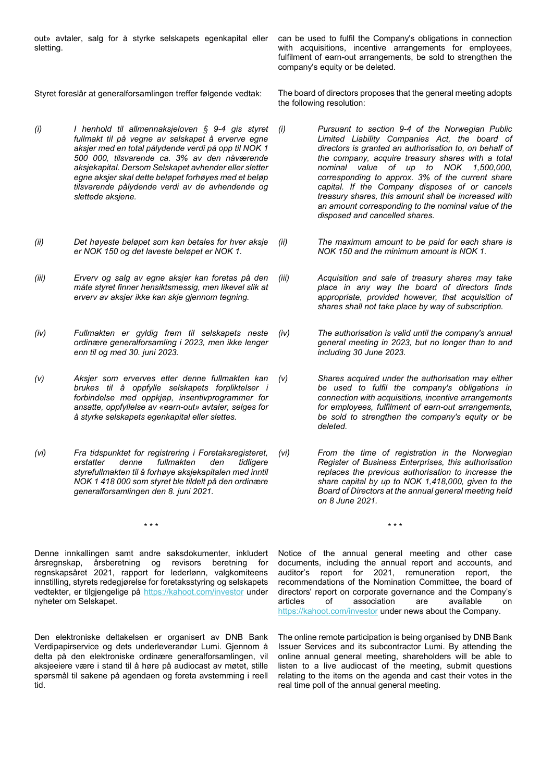out» avtaler, salg for å styrke selskapets egenkapital eller sletting.

can be used to fulfil the Company's obligations in connection with acquisitions, incentive arrangements for employees, fulfilment of earn-out arrangements, be sold to strengthen the company's equity or be deleted.

- *(i) I henhold til allmennaksjeloven § 9-4 gis styret fullmakt til på vegne av selskapet å erverve egne aksjer med en total pålydende verdi på opp til NOK 1 500 000, tilsvarende ca. 3% av den nåværende aksjekapital. Dersom Selskapet avhender eller sletter egne aksjer skal dette beløpet forhøyes med et beløp tilsvarende pålydende verdi av de avhendende og slettede aksjene.*
- *(ii) Det høyeste beløpet som kan betales for hver aksje er NOK 150 og det laveste beløpet er NOK 1.*
- *(iii) Erverv og salg av egne aksjer kan foretas på den måte styret finner hensiktsmessig, men likevel slik at erverv av aksjer ikke kan skje gjennom tegning.*
- *(iv) Fullmakten er gyldig frem til selskapets neste ordinære generalforsamling i 2023, men ikke lenger enn til og med 30. juni 2023.*
- *(v) Aksjer som erverves etter denne fullmakten kan brukes til å oppfylle selskapets forpliktelser i forbindelse med oppkjøp, insentivprogrammer for ansatte, oppfyllelse av «earn-out» avtaler, selges for å styrke selskapets egenkapital eller slettes.*
- *(vi) Fra tidspunktet for registrering i Foretaksregisteret, erstatter denne fullmakten den tidligere styrefullmakten til å forhøye aksjekapitalen med inntil NOK 1 418 000 som styret ble tildelt på den ordinære generalforsamlingen den 8. juni 2021.*

Denne innkallingen samt andre saksdokumenter, inkludert årsregnskap, årsberetning og revisors beretning for regnskapsåret 2021, rapport for lederlønn, valgkomiteens innstilling, styrets redegjørelse for foretaksstyring og selskapets vedtekter, er tilgjengelige på [https://kahoot.com/investor](https://kahoot.com/investor-relations/) under nyheter om Selskapet.

Den elektroniske deltakelsen er organisert av DNB Bank Verdipapirservice og dets underleverandør Lumi. Gjennom å delta på den elektroniske ordinære generalforsamlingen, vil aksjeeiere være i stand til å høre på audiocast av møtet, stille spørsmål til sakene på agendaen og foreta avstemming i reell tid.

Styret foreslår at generalforsamlingen treffer følgende vedtak: The board of directors proposes that the general meeting adopts the following resolution:

- *(i) Pursuant to section 9-4 of the Norwegian Public Limited Liability Companies Act, the board of directors is granted an authorisation to, on behalf of the company, acquire treasury shares with a total nominal value of up to NOK 1,500,000, corresponding to approx. 3% of the current share capital. If the Company disposes of or cancels treasury shares, this amount shall be increased with an amount corresponding to the nominal value of the disposed and cancelled shares.*
- *(ii) The maximum amount to be paid for each share is NOK 150 and the minimum amount is NOK 1.*
- *(iii) Acquisition and sale of treasury shares may take place in any way the board of directors finds appropriate, provided however, that acquisition of shares shall not take place by way of subscription.*
- *(iv) The authorisation is valid until the company's annual general meeting in 2023, but no longer than to and including 30 June 2023.*
- *(v) Shares acquired under the authorisation may either be used to fulfil the company's obligations in connection with acquisitions, incentive arrangements for employees, fulfilment of earn-out arrangements, be sold to strengthen the company's equity or be deleted.*
- *(vi) From the time of registration in the Norwegian Register of Business Enterprises, this authorisation replaces the previous authorisation to increase the share capital by up to NOK 1,418,000, given to the Board of Directors at the annual general meeting held on 8 June 2021.*

\* \* \* \* \* \*

Notice of the annual general meeting and other case documents, including the annual report and accounts, and auditor's report for 2021, remuneration report, the recommendations of the Nomination Committee, the board of directors' report on corporate governance and the Company's articles of association are available on [https://kahoot.com/investor](https://kahoot.com/investor-relations/) under news about the Company.

The online remote participation is being organised by DNB Bank Issuer Services and its subcontractor Lumi. By attending the online annual general meeting, shareholders will be able to listen to a live audiocast of the meeting, submit questions relating to the items on the agenda and cast their votes in the real time poll of the annual general meeting.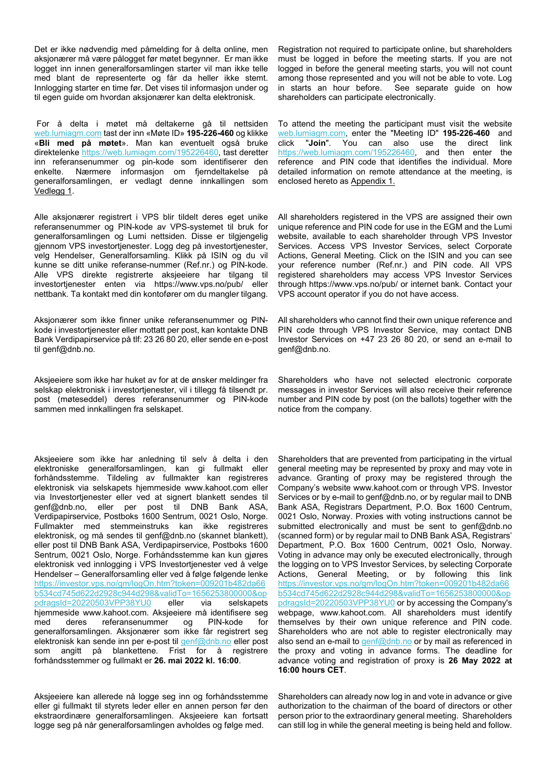Det er ikke nødvendig med påmelding for å delta online, men aksjonærer må være pålogget før møtet begynner. Er man ikke logget inn innen generalforsamlingen starter vil man ikke telle med blant de representerte og får da heller ikke stemt. Innlogging starter en time før. Det vises til informasjon under og til egen guide om hvordan aksjonærer kan delta elektronisk.

For å delta i møtet må deltakerne gå til nettsiden [web.lumiagm.com](file://ht.drift.local/11166$/Groups/2.%20Kunder%20-%20finans/2783%20-%20Kahoot!%20-%20GF%20innkalling/Filer%20fra%20kunde/web.lumiagm.com) tast der inn «Møte ID» **195-226-460** og klikke «**Bli med på møtet**». Man kan eventuelt også bruke direktelenke [https://web.lumiagm.com/195226460,](https://checkpoint.url-protection.com/v1/url?o=https%3A//web.lumiagm.com/195226460&g=MDRhYjc0MDllYWI0Njk3NA==&h=MmM5MWI5ZWNiOTIzNGY1ZDgxZTBmMjRiYTEwNzg3NjA1NDJjMGU4Yzk2MzBlMmUyZDg0NTgyNGIyZTJmZWNjMA==&p=Y3AxZTphdGhvbW1lc3NlbjpjaGVja3BvaW50Om9mZmljZTM2NV9lbWFpbHNfZW1haWw6ODVkY2VkNzk2ODg5ZTUzNjgyYzdkYzFjYmJjMWMyY2M6djE=) tast deretter inn referansenummer og pin-kode som identifiserer den enkelte. Nærmere informasjon om fjerndeltakelse på generalforsamlingen, er vedlagt denne innkallingen som Vedlegg 1.

Alle aksjonærer registrert i VPS blir tildelt deres eget unike referansenummer og PIN-kode av VPS-systemet til bruk for generalforsamlingen og Lumi nettsiden. Disse er tilgjengelig gjennom VPS investortjenester. Logg deg på investortjenester, velg Hendelser, Generalforsamling. Klikk på ISIN og du vil kunne se ditt unike referanse-nummer (Ref.nr.) og PIN-kode. Alle VPS direkte registrerte aksjeeiere har tilgang til investortjenester enten via https://www.vps.no/pub/ eller nettbank. Ta kontakt med din kontofører om du mangler tilgang.

Aksjonærer som ikke finner unike referansenummer og PINkode i investortjenester eller mottatt per post, kan kontakte DNB Bank Verdipapirservice på tlf: 23 26 80 20, eller sende en e-post til genf@dnb.no.

Aksjeeiere som ikke har huket av for at de ønsker meldinger fra selskap elektronisk i investortjenester, vil i tillegg få tilsendt pr. post (møteseddel) deres referansenummer og PIN-kode sammen med innkallingen fra selskapet.

Aksjeeiere som ikke har anledning til selv å delta i den elektroniske generalforsamlingen, kan gi fullmakt eller forhåndsstemme. Tildeling av fullmakter kan registreres elektronisk via selskapets hjemmeside www.kahoot.com eller via Investortjenester eller ved at signert blankett sendes til genf@dnb.no, eller per post til DNB Bank ASA, Verdipapirservice, Postboks 1600 Sentrum, 0021 Oslo, Norge. Fullmakter med stemmeinstruks kan ikke registreres elektronisk, og må sendes til genf@dnb.no (skannet blankett), eller post til DNB Bank ASA, Verdipapirservice, Postboks 1600 Sentrum, 0021 Oslo, Norge. Forhåndsstemme kan kun gjøres elektronisk ved innlogging i VPS Investortjenester ved å velge Hendelser – Generalforsamling eller ved å følge følgende lenke [https://investor.vps.no/gm/logOn.htm?token=009201b482da66](https://investor.vps.no/gm/logOn.htm?token=009201b482da66b534cd745d622d2928c944d298&validTo=1656253800000&oppdragsId=20220503VPP38YU0) [b534cd745d622d2928c944d298&validTo=1656253800000&op](https://investor.vps.no/gm/logOn.htm?token=009201b482da66b534cd745d622d2928c944d298&validTo=1656253800000&oppdragsId=20220503VPP38YU0) [pdragsId=20220503VPP38YU0](https://investor.vps.no/gm/logOn.htm?token=009201b482da66b534cd745d622d2928c944d298&validTo=1656253800000&oppdragsId=20220503VPP38YU0) eller via selskapets hjemmeside www.kahoot.com. Aksjeeiere må identifisere seg med deres referansenummer og PIN-kode for generalforsamlingen. Aksjonærer som ikke får registrert seg elektronisk kan sende inn per e-post til [genf@dnb.no](mailto:genf@dnb.no) eller post som angitt på blankettene. Frist for å registrere forhåndsstemmer og fullmakt er **26. mai 2022 kl. 16:00**.

Aksjeeiere kan allerede nå logge seg inn og forhåndsstemme eller gi fullmakt til styrets leder eller en annen person før den ekstraordinære generalforsamlingen. Aksjeeiere kan fortsatt logge seg på når generalforsamlingen avholdes og følge med.

Registration not required to participate online, but shareholders must be logged in before the meeting starts. If you are not logged in before the general meeting starts, you will not count among those represented and you will not be able to vote. Log in starts an hour before. See separate guide on how shareholders can participate electronically.

To attend the meeting the participant must visit the website [web.lumiagm.com,](file://ht.drift.local/11166$/Groups/2.%20Kunder%20-%20finans/2783%20-%20Kahoot!%20-%20GF%20innkalling/Filer%20fra%20kunde/web.lumiagm.com) enter the "Meeting ID" **195-226-460** and click "**Join**". You can also use the direct link [https://web.lumiagm.com/195226460,](https://checkpoint.url-protection.com/v1/url?o=https%3A//web.lumiagm.com/195226460&g=MDRhYjc0MDllYWI0Njk3NA==&h=MmM5MWI5ZWNiOTIzNGY1ZDgxZTBmMjRiYTEwNzg3NjA1NDJjMGU4Yzk2MzBlMmUyZDg0NTgyNGIyZTJmZWNjMA==&p=Y3AxZTphdGhvbW1lc3NlbjpjaGVja3BvaW50Om9mZmljZTM2NV9lbWFpbHNfZW1haWw6ODVkY2VkNzk2ODg5ZTUzNjgyYzdkYzFjYmJjMWMyY2M6djE=) and then enter the reference and PIN code that identifies the individual. More detailed information on remote attendance at the meeting, is enclosed hereto as Appendix 1.

All shareholders registered in the VPS are assigned their own unique reference and PIN code for use in the EGM and the Lumi website, available to each shareholder through VPS Investor Services. Access VPS Investor Services, select Corporate Actions, General Meeting. Click on the ISIN and you can see your reference number (Ref.nr.) and PIN code. All VPS registered shareholders may access VPS Investor Services through https://www.vps.no/pub/ or internet bank. Contact your VPS account operator if you do not have access.

All shareholders who cannot find their own unique reference and PIN code through VPS Investor Service, may contact DNB Investor Services on +47 23 26 80 20, or send an e-mail to genf@dnb.no.

Shareholders who have not selected electronic corporate messages in investor Services will also receive their reference number and PIN code by post (on the ballots) together with the notice from the company.

Shareholders that are prevented from participating in the virtual general meeting may be represented by proxy and may vote in advance. Granting of proxy may be registered through the Company's website www.kahoot.com or through VPS. Investor Services or by e-mail to genf@dnb.no, or by regular mail to DNB Bank ASA, Registrars Department, P.O. Box 1600 Centrum, 0021 Oslo, Norway. Proxies with voting instructions cannot be submitted electronically and must be sent to genf@dnb.no (scanned form) or by regular mail to DNB Bank ASA, Registrars' Department, P.O. Box 1600 Centrum, 0021 Oslo, Norway. Voting in advance may only be executed electronically, through the logging on to VPS Investor Services, by selecting Corporate Actions, General Meeting, or by following this link [https://investor.vps.no/gm/logOn.htm?token=009201b482da66](https://investor.vps.no/gm/logOn.htm?token=009201b482da66b534cd745d622d2928c944d298&validTo=1656253800000&oppdragsId=20220503VPP38YU0) [b534cd745d622d2928c944d298&validTo=1656253800000&op](https://investor.vps.no/gm/logOn.htm?token=009201b482da66b534cd745d622d2928c944d298&validTo=1656253800000&oppdragsId=20220503VPP38YU0) [pdragsId=20220503VPP38YU0](https://investor.vps.no/gm/logOn.htm?token=009201b482da66b534cd745d622d2928c944d298&validTo=1656253800000&oppdragsId=20220503VPP38YU0) or by accessing the Company's webpage, www.kahoot.com. All shareholders must identify themselves by their own unique reference and PIN code. Shareholders who are not able to register electronically may also send an e-mail t[o genf@dnb.no](mailto:genf@dnb.no) or by mail as referenced in the proxy and voting in advance forms. The deadline for advance voting and registration of proxy is **26 May 2022 at 16:00 hours CET**.

Shareholders can already now log in and vote in advance or give authorization to the chairman of the board of directors or other person prior to the extraordinary general meeting. Shareholders can still log in while the general meeting is being held and follow.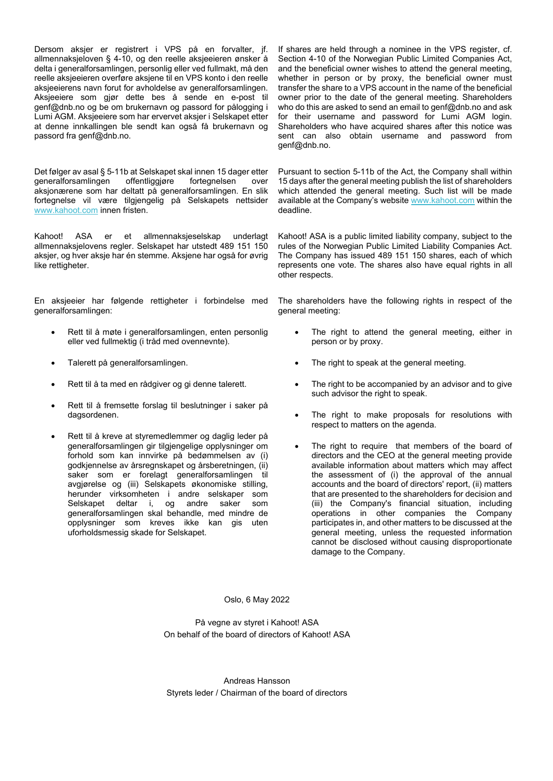Dersom aksjer er registrert i VPS på en forvalter, jf. allmennaksjeloven § 4-10, og den reelle aksjeeieren ønsker å delta i generalforsamlingen, personlig eller ved fullmakt, må den reelle aksjeeieren overføre aksjene til en VPS konto i den reelle aksjeeierens navn forut for avholdelse av generalforsamlingen. Aksjeeiere som gjør dette bes å sende en e-post til genf@dnb.no og be om brukernavn og passord for pålogging i Lumi AGM. Aksjeeiere som har ervervet aksjer i Selskapet etter at denne innkallingen ble sendt kan også få brukernavn og passord fra genf@dnb.no.

Det følger av asal § 5-11b at Selskapet skal innen 15 dager etter generalforsamlingen offentliggjøre fortegnelsen over aksjonærene som har deltatt på generalforsamlingen. En slik fortegnelse vil være tilgjengelig på Selskapets nettsider [www.kahoot.com](http://www.kahoot.com/) innen fristen.

Kahoot! ASA er et allmennaksjeselskap underlagt allmennaksjelovens regler. Selskapet har utstedt 489 151 150 aksjer, og hver aksje har én stemme. Aksjene har også for øvrig like rettigheter.

En aksjeeier har følgende rettigheter i forbindelse med generalforsamlingen:

- Rett til å møte i generalforsamlingen, enten personlig eller ved fullmektig (i tråd med ovennevnte).
- Talerett på generalforsamlingen.
- Rett til å ta med en rådgiver og gi denne talerett.
- Rett til å fremsette forslag til beslutninger i saker på dagsordenen.
- Rett til å kreve at styremedlemmer og daglig leder på generalforsamlingen gir tilgjengelige opplysninger om forhold som kan innvirke på bedømmelsen av (i) godkjennelse av årsregnskapet og årsberetningen, (ii) saker som er forelagt generalforsamlingen til avgjørelse og (iii) Selskapets økonomiske stilling, herunder virksomheten i andre selskaper som Selskapet deltar i, og andre saker som generalforsamlingen skal behandle, med mindre de opplysninger som kreves ikke kan gis uten uforholdsmessig skade for Selskapet.

If shares are held through a nominee in the VPS register, cf. Section 4-10 of the Norwegian Public Limited Companies Act, and the beneficial owner wishes to attend the general meeting, whether in person or by proxy, the beneficial owner must transfer the share to a VPS account in the name of the beneficial owner prior to the date of the general meeting. Shareholders who do this are asked to send an email to genf@dnb.no and ask for their username and password for Lumi AGM login. Shareholders who have acquired shares after this notice was sent can also obtain username and password from genf@dnb.no.

Pursuant to section 5-11b of the Act, the Company shall within 15 days after the general meeting publish the list of shareholders which attended the general meeting. Such list will be made available at the Company's websit[e www.kahoot.com](http://www.kahoot.com/) within the deadline.

Kahoot! ASA is a public limited liability company, subject to the rules of the Norwegian Public Limited Liability Companies Act. The Company has issued 489 151 150 shares, each of which represents one vote. The shares also have equal rights in all other respects.

The shareholders have the following rights in respect of the general meeting:

- The right to attend the general meeting, either in person or by proxy.
- The right to speak at the general meeting.
- The right to be accompanied by an advisor and to give such advisor the right to speak.
- The right to make proposals for resolutions with respect to matters on the agenda.
- The right to require that members of the board of directors and the CEO at the general meeting provide available information about matters which may affect the assessment of (i) the approval of the annual accounts and the board of directors' report, (ii) matters that are presented to the shareholders for decision and (iii) the Company's financial situation, including operations in other companies the Company participates in, and other matters to be discussed at the general meeting, unless the requested information cannot be disclosed without causing disproportionate damage to the Company.

Oslo, 6 May 2022

På vegne av styret i Kahoot! ASA On behalf of the board of directors of Kahoot! ASA

Andreas Hansson Styrets leder / Chairman of the board of directors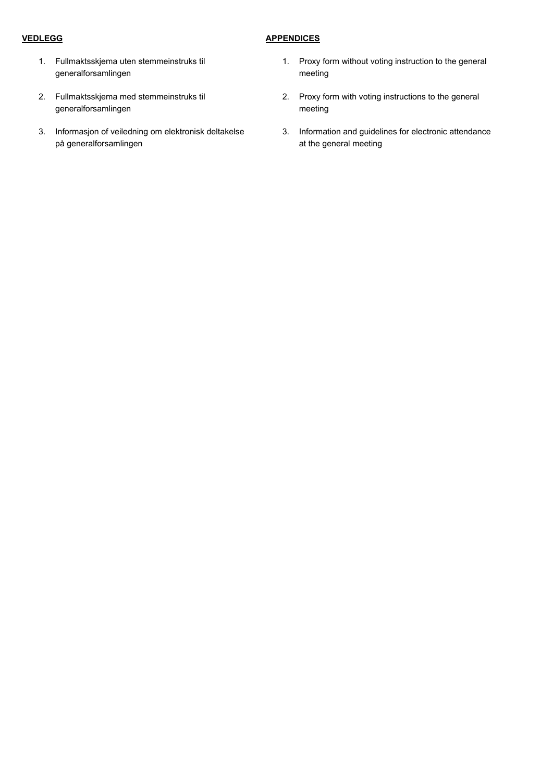## **VEDLEGG**

## **APPENDICES**

- 1. Fullmaktsskjema uten stemmeinstruks til generalforsamlingen
- 2. Fullmaktsskjema med stemmeinstruks til generalforsamlingen
- 3. Informasjon of veiledning om elektronisk deltakelse på generalforsamlingen
- 1. Proxy form without voting instruction to the general meeting
- 2. Proxy form with voting instructions to the general meeting
- 3. Information and guidelines for electronic attendance at the general meeting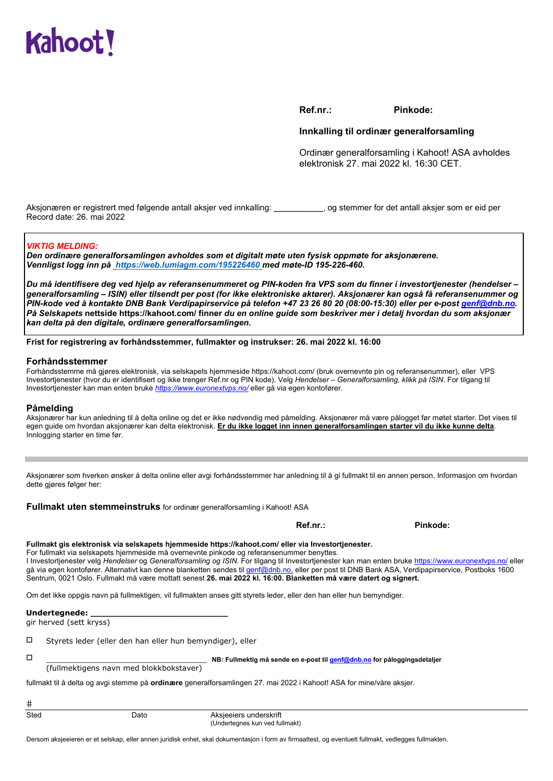

**Ref.nr.: Pinkode:** 

#### **Innkalling til ordinær generalforsamling**

Ordinær generalforsamling i Kahoot! ASA avholdes elektronisk 27. mai 2022 kl. 16:30 CET.

Aksjonæren er registrert med følgende antall aksjer ved innkalling: **\_\_\_\_\_\_\_\_\_\_\_\_**, og stemmer for det antall aksjer som er eid per Record date: 26. mai 2022

#### *VIKTIG MELDING:*

*Den ordinære generalforsamlingen avholdes som et digitalt møte uten fysisk oppmøte for aksjonærene. Vennligst logg inn på https://web.lumiagm.com/195226460 med møte-ID 195-226-460.*

*Du må identifisere deg ved hjelp av referansenummeret og PIN-koden fra VPS som du finner i investortjenester (hendelser – generalforsamling – ISIN) eller tilsendt per post (for ikke elektroniske aktører). Aksjonærer kan også få referansenummer og PIN-kode ved å kontakte DNB Bank Verdipapirservice på telefon +47 23 26 80 20 (08:00-15:30) eller per e-post genf@dnb.no. På Selskapets* **nettside https://kahoot.com/ finner** *du en online guide som beskriver mer i detalj hvordan du som aksjonær kan delta på den digitale, ordinære generalforsamlingen.* 

**Frist for registrering av forhåndsstemmer, fullmakter og instrukser: 26. mai 2022 kl. 16:00** 

#### **Forhåndsstemmer**

Forhåndsstemme må gjøres elektronisk, via selskapets hjemmeside https://kahoot.com/ (bruk overnevnte pin og referansenummer), eller VPS Investortjenester (hvor du er identifisert og ikke trenger Ref.nr og PIN kode). Velg *Hendelser* – *Generalforsamling, klikk på ISIN*. For tilgang til Investortjenester kan man enten bruke *https://www.euronextvps.no/* eller gå via egen kontofører.

#### **Påmelding**

Aksjonærer har kun anledning til å delta online og det er ikke nødvendig med påmelding. Aksjonærer må være pålogget før møtet starter. Det vises til egen guide om hvordan aksjonærer kan delta elektronisk. **Er du ikke logget inn innen generalforsamlingen starter vil du ikke kunne delta**. Innlogging starter en time før.

Aksjonærer som hverken ønsker å delta online eller avgi forhåndsstemmer har anledning til å gi fullmakt til en annen person. Informasjon om hvordan dette gjøres følger her:

**Fullmakt uten stemmeinstruks** for ordinær generalforsamling i Kahoot! ASA

**Ref.nr.: Pinkode:** 

| Fullmakt gis elektronisk via selskapets hjemmeside https://kahoot.com/ eller via Investortjenester. |  |  |
|-----------------------------------------------------------------------------------------------------|--|--|
|                                                                                                     |  |  |

For fullmakt via selskapets hjemmeside må overnevnte pinkode og referansenummer benyttes. I Investortjenester velg *Hendelser* og *Generalforsamling og ISIN*. For tilgang til Investortjenester kan man enten bruke https://www.euronextvps.no/ eller gå via egen kontofører. Alternativt kan denne blanketten sendes til <u>genf@dnb.no,</u> eller per post til DNB Bank ASA, Verdipapirservice, Postboks 1600 Sentrum, 0021 Oslo. Fullmakt må være mottatt senest **26. mai 2022 kl. 16:00. Blanketten må være datert og signert.** 

Om det ikke oppgis navn på fullmektigen, vil fullmakten anses gitt styrets leder, eller den han eller hun bemyndiger.

#### **Undertegnede: \_\_\_\_\_\_\_\_\_\_\_\_\_\_\_\_\_\_\_\_\_\_\_\_\_\_**

gir herved (sett kryss)

 $\square$  Styrets leder (eller den han eller hun bemyndiger), eller

 $\pm$ 

\_\_\_\_\_\_\_\_\_\_\_\_\_\_\_\_\_\_\_\_\_\_\_\_\_\_\_\_\_\_\_\_\_\_ **NB: Fullmektig må sende en e-post til genf@dnb.no for påloggingsdetaljer**

(fullmektigens navn med blokkbokstaver)

fullmakt til å delta og avgi stemme på **ordinære** generalforsamlingen 27. mai 2022 i Kahoot! ASA for mine/våre aksjer.

| Sted | Dato | Aksieeiers underskrift<br>(Undertegnes kun ved fullmakt) |
|------|------|----------------------------------------------------------|
|      |      |                                                          |

Dersom aksjeeieren er et selskap, eller annen juridisk enhet, skal dokumentasjon i form av firmaattest, og eventuelt fullmakt, vedlegges fullmakten.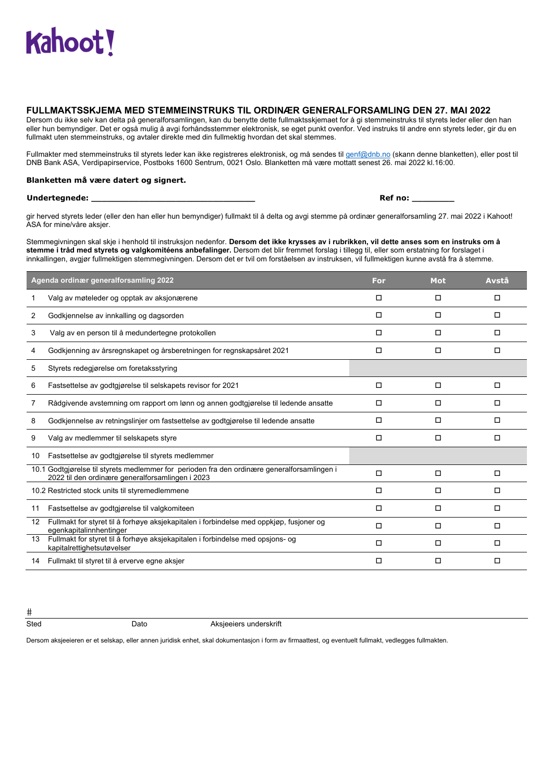## **FULLMAKTSSKJEMA MED STEMMEINSTRUKS TIL ORDINÆR GENERALFORSAMLING DEN 27. MAI 2022**

Dersom du ikke selv kan delta på generalforsamlingen, kan du benytte dette fullmaktsskjemaet for å gi stemmeinstruks til styrets leder eller den han eller hun bemyndiger. Det er også mulig å avgi forhåndsstemmer elektronisk, se eget punkt ovenfor. Ved instruks til andre enn styrets leder, gir du en fullmakt uten stemmeinstruks, og avtaler direkte med din fullmektig hvordan det skal stemmes.

Fullmakter med stemmeinstruks til styrets leder kan ikke registreres elektronisk, og må sendes til genf@dnb.no (skann denne blanketten), eller post til DNB Bank ASA, Verdipapirservice, Postboks 1600 Sentrum, 0021 Oslo. Blanketten må være mottatt senest 26. mai 2022 kl.16:00.

#### **Blanketten må være datert og signert.**

#### **Undertegnede: \_\_\_\_\_\_\_\_\_\_\_\_\_\_\_\_\_\_\_\_\_\_\_\_\_\_\_\_\_\_\_ Ref no: \_\_\_\_\_\_\_\_**

gir herved styrets leder (eller den han eller hun bemyndiger) fullmakt til å delta og avgi stemme på ordinær generalforsamling 27. mai 2022 i Kahoot! ASA for mine/våre aksjer.

Stemmegivningen skal skje i henhold til instruksjon nedenfor. **Dersom det ikke krysses av i rubrikken, vil dette anses som en instruks om å stemme i tråd med styrets og valgkomitéens anbefalinger.** Dersom det blir fremmet forslag i tillegg til, eller som erstatning for forslaget i innkallingen, avgjør fullmektigen stemmegivningen. Dersom det er tvil om forståelsen av instruksen, vil fullmektigen kunne avstå fra å stemme.

|                   | Agenda ordinær generalforsamling 2022                                                                                                           | For    | <b>Mot</b> | Avstå |
|-------------------|-------------------------------------------------------------------------------------------------------------------------------------------------|--------|------------|-------|
|                   | Valg av møteleder og opptak av aksjonærene                                                                                                      | $\Box$ | $\Box$     | □     |
| 2                 | Godkjennelse av innkalling og dagsorden                                                                                                         | $\Box$ | □          | □     |
| 3                 | Valg av en person til å medundertegne protokollen                                                                                               | $\Box$ | $\Box$     | п     |
| 4                 | Godkjenning av årsregnskapet og årsberetningen for regnskapsåret 2021                                                                           | $\Box$ | □          | □     |
| 5                 | Styrets redegiørelse om foretaksstyring                                                                                                         |        |            |       |
| 6                 | Fastsettelse av godtgjørelse til selskapets revisor for 2021                                                                                    | $\Box$ | $\Box$     | □     |
| 7                 | Rådgivende avstemning om rapport om lønn og annen godtgjørelse til ledende ansatte                                                              | $\Box$ | □          | □     |
| 8                 | Godkjennelse av retningslinjer om fastsettelse av godtgjørelse til ledende ansatte                                                              | $\Box$ | $\Box$     | □     |
| 9                 | Valg av medlemmer til selskapets styre                                                                                                          | $\Box$ | □          | □     |
| 10                | Fastsettelse av godtgjørelse til styrets medlemmer                                                                                              |        |            |       |
|                   | 10.1 Godtgjørelse til styrets medlemmer for perioden fra den ordinære generalforsamlingen i<br>2022 til den ordinære generalforsamlingen i 2023 | $\Box$ | □          | □     |
|                   | 10.2 Restricted stock units til styremedlemmene                                                                                                 | $\Box$ | п          | п     |
| 11                | Fastsettelse av godtgjørelse til valgkomiteen                                                                                                   | $\Box$ | □          | □     |
| $12 \overline{ }$ | Fullmakt for styret til å forhøye aksjekapitalen i forbindelse med oppkjøp, fusjoner og<br>egenkapitalinnhentinger                              | □      | □          | □     |
| 13                | Fullmakt for styret til å forhøye aksjekapitalen i forbindelse med opsjons- og<br>kapitalrettighetsutøvelser                                    | $\Box$ | $\Box$     | □     |
| 14                | Fullmakt til styret til å erverve egne aksjer                                                                                                   | $\Box$ | □          | □     |

 $#$ 

**Sted Dato** Dato **Aksjeeiers underskrift** 

Dersom aksjeeieren er et selskap, eller annen juridisk enhet, skal dokumentasjon i form av firmaattest, og eventuelt fullmakt, vedlegges fullmakten.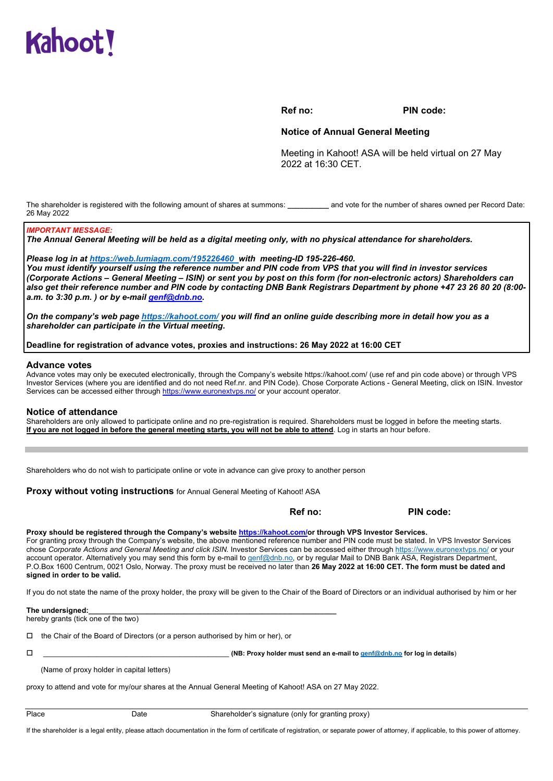

**Ref no: PIN code:** 

#### **Notice of Annual General Meeting**

Meeting in Kahoot! ASA will be held virtual on 27 May 2022 at 16:30 CET.

The shareholder is registered with the following amount of shares at summons: and vote for the number of shares owned per Record Date: 26 May 2022

#### *IMPORTANT MESSAGE:*

*The Annual General Meeting will be held as a digital meeting only, with no physical attendance for shareholders.* 

*Please log in at https://web.lumiagm.com/195226460 with meeting-ID 195-226-460.* 

*You must identify yourself using the reference number and PIN code from VPS that you will find in investor services (Corporate Actions – General Meeting – ISIN) or sent you by post on this form (for non-electronic actors) Shareholders can also get their reference number and PIN code by contacting DNB Bank Registrars Department by phone +47 23 26 80 20 (8:00 a.m. to 3:30 p.m. ) or by e-mail genf@dnb.no.* 

*On the company's web page https://kahoot.com/ you will find an online guide describing more in detail how you as a shareholder can participate in the Virtual meeting.* 

#### **Deadline for registration of advance votes, proxies and instructions: 26 May 2022 at 16:00 CET**

#### **Advance votes**

Advance votes may only be executed electronically, through the Company's website https://kahoot.com/ (use ref and pin code above) or through VPS Investor Services (where you are identified and do not need Ref.nr. and PIN Code). Chose Corporate Actions - General Meeting, click on ISIN. Investor Services can be accessed either through https://www.euronextvps.no/ or your account operator*.*

#### **Notice of attendance**

Shareholders are only allowed to participate online and no pre-registration is required. Shareholders must be logged in before the meeting starts. **If you are not logged in before the general meeting starts, you will not be able to attend**. Log in starts an hour before.

Shareholders who do not wish to participate online or vote in advance can give proxy to another person

**Proxy without voting instructions** for Annual General Meeting of Kahoot! ASA

**Ref no:** PIN code:

#### **Proxy should be registered through the Company's website https://kahoot.com/or through VPS Investor Services.**

For granting proxy through the Company's website, the above mentioned reference number and PIN code must be stated. In VPS Investor Services chose *Corporate Actions and General Meeting and click ISIN.* Investor Services can be accessed either through https://www.euronextvps.no/ or your account operator. Alternatively you may send this form by e-mail to genf@dnb.no, or by regular Mail to DNB Bank ASA, Registrars Department, P.O.Box 1600 Centrum, 0021 Oslo, Norway. The proxy must be received no later than **26 May 2022 at 16:00 CET. The form must be dated and signed in order to be valid.**

If you do not state the name of the proxy holder, the proxy will be given to the Chair of the Board of Directors or an individual authorised by him or her

#### The undersianed:

hereby grants (tick one of the two)

 $\Box$  the Chair of the Board of Directors (or a person authorised by him or her), or

\_\_\_\_\_\_\_\_\_\_\_\_\_\_\_\_\_\_\_\_\_\_\_\_\_\_\_\_\_\_\_\_\_\_\_\_\_\_\_\_\_\_\_\_\_ **(NB: Proxy holder must send an e-mail to genf@dnb.no for log in details**)

(Name of proxy holder in capital letters)

proxy to attend and vote for my/our shares at the Annual General Meeting of Kahoot! ASA on 27 May 2022.

Place Date Date Shareholder's signature (only for granting proxy)

If the shareholder is a legal entity, please attach documentation in the form of certificate of registration, or separate power of attorney, if applicable, to this power of attorney.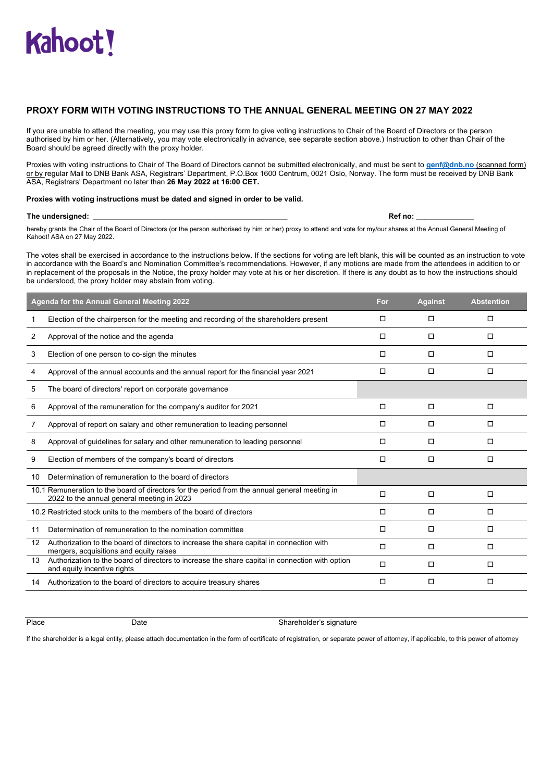## **PROXY FORM WITH VOTING INSTRUCTIONS TO THE ANNUAL GENERAL MEETING ON 27 MAY 2022**

If you are unable to attend the meeting, you may use this proxy form to give voting instructions to Chair of the Board of Directors or the person authorised by him or her. (Alternatively, you may vote electronically in advance, see separate section above.) Instruction to other than Chair of the Board should be agreed directly with the proxy holder.

Proxies with voting instructions to Chair of The Board of Directors cannot be submitted electronically, and must be sent to **genf@dnb.no** (scanned form) or by regular Mail to DNB Bank ASA, Registrars' Department, P.O.Box 1600 Centrum, 0021 Oslo, Norway. The form must be received by DNB Bank ASA, Registrars' Department no later than **26 May 2022 at 16:00 CET.**

#### **Proxies with voting instructions must be dated and signed in order to be valid.**

#### The undersigned: **Example 2** and the undersigned: **Example 2** and the undersigned: **Ref no: Ref no: B**

hereby grants the Chair of the Board of Directors (or the person authorised by him or her) proxy to attend and vote for my/our shares at the Annual General Meeting of Kahoot! ASA on 27 May 2022.

The votes shall be exercised in accordance to the instructions below. If the sections for voting are left blank, this will be counted as an instruction to vote in accordance with the Board's and Nomination Committee's recommendations. However, if any motions are made from the attendees in addition to or in replacement of the proposals in the Notice, the proxy holder may vote at his or her discretion. If there is any doubt as to how the instructions should be understood, the proxy holder may abstain from voting.

|    | Agenda for the Annual General Meeting 2022                                                                                                  | For    | <b>Against</b> | <b>Abstention</b> |
|----|---------------------------------------------------------------------------------------------------------------------------------------------|--------|----------------|-------------------|
|    | Election of the chairperson for the meeting and recording of the shareholders present                                                       | □      | $\Box$         | □                 |
| 2  | Approval of the notice and the agenda                                                                                                       | □      | $\Box$         | □                 |
| 3  | Election of one person to co-sign the minutes                                                                                               | □      | $\Box$         | $\Box$            |
| 4  | Approval of the annual accounts and the annual report for the financial year 2021                                                           | п      | л              | □                 |
| 5  | The board of directors' report on corporate governance                                                                                      |        |                |                   |
| 6  | Approval of the remuneration for the company's auditor for 2021                                                                             | □      | $\Box$         | $\Box$            |
| 7  | Approval of report on salary and other remuneration to leading personnel                                                                    | □      | $\Box$         | □                 |
| 8  | Approval of guidelines for salary and other remuneration to leading personnel                                                               | □      | $\Box$         | □                 |
| 9  | Election of members of the company's board of directors                                                                                     | □      | $\Box$         | □                 |
| 10 | Determination of remuneration to the board of directors                                                                                     |        |                |                   |
|    | 10.1 Remuneration to the board of directors for the period from the annual general meeting in<br>2022 to the annual general meeting in 2023 | $\Box$ | $\Box$         | $\Box$            |
|    | 10.2 Restricted stock units to the members of the board of directors                                                                        | □      | $\Box$         | $\Box$            |
| 11 | Determination of remuneration to the nomination committee                                                                                   | □      | $\Box$         | □                 |
| 12 | Authorization to the board of directors to increase the share capital in connection with<br>mergers, acquisitions and equity raises         | □      | $\Box$         | □                 |
| 13 | Authorization to the board of directors to increase the share capital in connection with option<br>and equity incentive rights              | $\Box$ | $\Box$         | $\Box$            |
| 14 | Authorization to the board of directors to acquire treasury shares                                                                          | □      | $\Box$         | □                 |

Place **Date** Date Shareholder's signature **Date** Shareholder's signature

If the shareholder is a legal entity, please attach documentation in the form of certificate of registration, or separate power of attorney, if applicable, to this power of attorney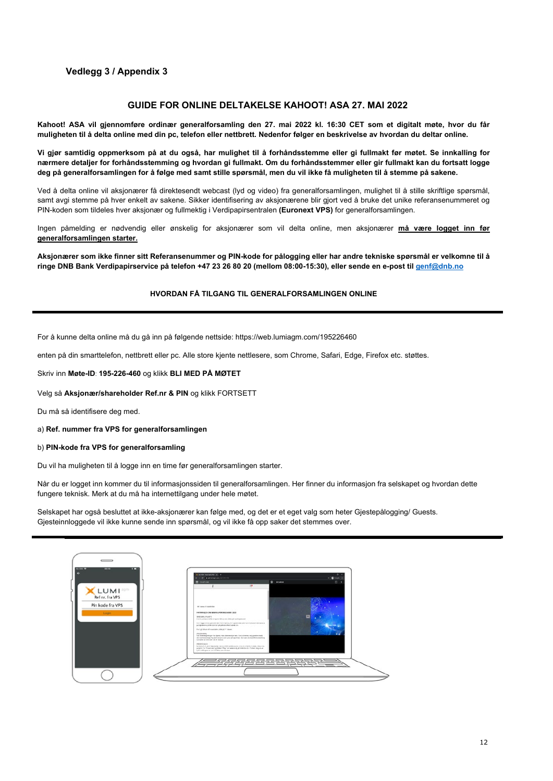## **Vedlegg 3 / Appendix 3**

## **GUIDE FOR ONLINE DELTAKELSE KAHOOT! ASA 27. MAI 2022**

**Kahoot! ASA vil gjennomføre ordinær generalforsamling den 27. mai 2022 kl. 16:30 CET som et digitalt møte, hvor du får muligheten til å delta online med din pc, telefon eller nettbrett. Nedenfor følger en beskrivelse av hvordan du deltar online.** 

**Vi gjør samtidig oppmerksom på at du også, har mulighet til å forhåndsstemme eller gi fullmakt før møtet. Se innkalling for nærmere detaljer for forhåndsstemming og hvordan gi fullmakt. Om du forhåndsstemmer eller gir fullmakt kan du fortsatt logge deg på generalforsamlingen for å følge med samt stille spørsmål, men du vil ikke få muligheten til å stemme på sakene.** 

Ved å delta online vil aksjonærer få direktesendt webcast (lyd og video) fra generalforsamlingen, mulighet til å stille skriftlige spørsmål, samt avgi stemme på hver enkelt av sakene. Sikker identifisering av aksjonærene blir gjort ved å bruke det unike referansenummeret og PIN-koden som tildeles hver aksjonær og fullmektig i Verdipapirsentralen **(Euronext VPS)** for generalforsamlingen.

Ingen påmelding er nødvendig eller ønskelig for aksjonærer som vil delta online, men aksjonærer **må være logget inn før generalforsamlingen starter.**

**Aksjonærer som ikke finner sitt Referansenummer og PIN-kode for pålogging eller har andre tekniske spørsmål er velkomne til å ringe DNB Bank Verdipapirservice på telefon +47 23 26 80 20 (mellom 08:00-15:30), eller sende en e-post til [genf@dnb.no](mailto:genf@dnb.no)**

#### **HVORDAN FÅ TILGANG TIL GENERALFORSAMLINGEN ONLINE**

For å kunne delta online må du gå inn på følgende nettside: https://web.lumiagm.com/195226460

enten på din smarttelefon, nettbrett eller pc. Alle store kjente nettlesere, som Chrome, Safari, Edge, Firefox etc. støttes.

Skriv inn **Møte-ID**: **195-226-460** og klikk **BLI MED PÅ MØTET** 

Velg så **Aksjonær/shareholder Ref.nr & PIN** og klikk FORTSETT

Du må så identifisere deg med.

a) **Ref. nummer fra VPS for generalforsamlingen**

b) **PIN-kode fra VPS for generalforsamling**

Du vil ha muligheten til å logge inn en time før generalforsamlingen starter.

Når du er logget inn kommer du til informasjonssiden til generalforsamlingen. Her finner du informasjon fra selskapet og hvordan dette fungere teknisk. Merk at du må ha internettilgang under hele møtet.

Selskapet har også besluttet at ikke-aksjonærer kan følge med, og det er et eget valg som heter Gjestepålogging/ Guests. Gjesteinnloggede vil ikke kunne sende inn spørsmål, og vil ikke få opp saker det stemmes over.

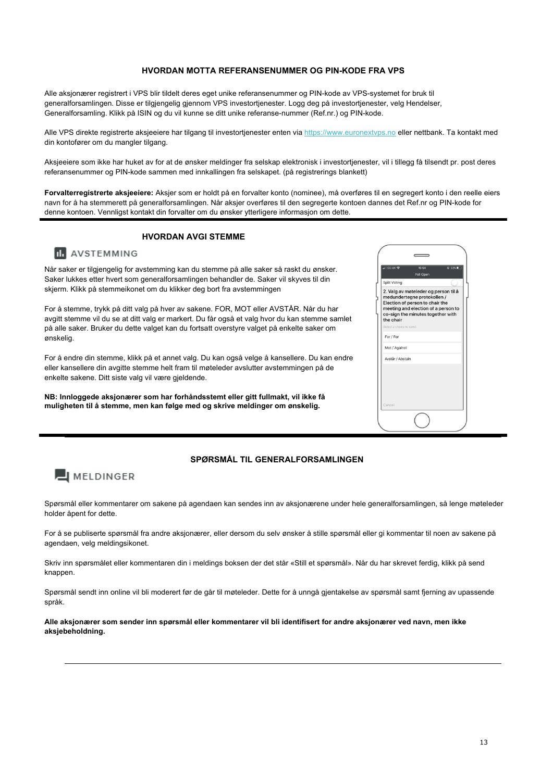#### **HVORDAN MOTTA REFERANSENUMMER OG PIN-KODE FRA VPS**

Alle aksjonærer registrert i VPS blir tildelt deres eget unike referansenummer og PIN-kode av VPS-systemet for bruk til generalforsamlingen. Disse er tilgjengelig gjennom VPS investortjenester. Logg deg på investortjenester, velg Hendelser, Generalforsamling. Klikk på ISIN og du vil kunne se ditt unike referanse-nummer (Ref.nr.) og PIN-kode.

Alle VPS direkte registrerte aksjeeiere har tilgang til investortjenester enten via [https://www.euronextvps.no e](https://www.euronextvps.no/)ller nettbank. Ta kontakt med din kontofører om du mangler tilgang.

Aksjeeiere som ikke har huket av for at de ønsker meldinger fra selskap elektronisk i investortjenester, vil i tillegg få tilsendt pr. post deres referansenummer og PIN-kode sammen med innkallingen fra selskapet. (på registrerings blankett)

**Forvalterregistrerte aksjeeiere:** Aksjer som er holdt på en forvalter konto (nominee), må overføres til en segregert konto i den reelle eiers navn for å ha stemmerett på generalforsamlingen. Når aksjer overføres til den segregerte kontoen dannes det Ref.nr og PIN-kode for denne kontoen. Vennligst kontakt din forvalter om du ønsker ytterligere informasjon om dette.

## **HVORDAN AVGI STEMME**

## **III** AVSTEMMING

Når saker er tilgjengelig for avstemming kan du stemme på alle saker så raskt du ønsker. Saker lukkes etter hvert som generalforsamlingen behandler de. Saker vil skyves til din skjerm. Klikk på stemmeikonet om du klikker deg bort fra avstemmingen

For å stemme, trykk på ditt valg på hver av sakene. FOR, MOT eller AVSTÅR. Når du har avgitt stemme vil du se at ditt valg er markert. Du får også et valg hvor du kan stemme samlet på alle saker. Bruker du dette valget kan du fortsatt overstyre valget på enkelte saker om ønskelig.

For å endre din stemme, klikk på et annet valg. Du kan også velge å kansellere. Du kan endre eller kansellere din avgitte stemme helt fram til møteleder avslutter avstemmingen på de enkelte sakene. Ditt siste valg vil være gjeldende.

**NB: Innloggede aksjonærer som har forhåndsstemt eller gitt fullmakt, vil ikke få muligheten til å stemme, men kan følge med og skrive meldinger om ønskelig.**

| all 02-UK <              | ● 33%<br>15:54<br>Poll Open                                                                                                                                                        |
|--------------------------|------------------------------------------------------------------------------------------------------------------------------------------------------------------------------------|
| Split Voting             |                                                                                                                                                                                    |
| the chair                | 2. Valg av møteleder og person til å<br>medundertegne protokollen /<br>Election of person to chair the<br>meeting and election of a person to<br>co-sign the minutes together with |
| Select a choice to send. |                                                                                                                                                                                    |
| For / For                |                                                                                                                                                                                    |
| Mot / Against            |                                                                                                                                                                                    |
| Avstår / Abstain         |                                                                                                                                                                                    |
|                          |                                                                                                                                                                                    |
| Cancel                   |                                                                                                                                                                                    |
|                          |                                                                                                                                                                                    |

## **SPØRSMÅL TIL GENERALFORSAMLINGEN**

## **J** MELDINGER

Spørsmål eller kommentarer om sakene på agendaen kan sendes inn av aksjonærene under hele generalforsamlingen, så lenge møteleder holder åpent for dette.

For å se publiserte spørsmål fra andre aksjonærer, eller dersom du selv ønsker å stille spørsmål eller gi kommentar til noen av sakene på agendaen, velg meldingsikonet.

Skriv inn spørsmålet eller kommentaren din i meldings boksen der det står «Still et spørsmål». Når du har skrevet ferdig, klikk på send knappen.

Spørsmål sendt inn online vil bli moderert før de går til møteleder. Dette for å unngå gjentakelse av spørsmål samt fjerning av upassende språk.

**Alle aksjonærer som sender inn spørsmål eller kommentarer vil bli identifisert for andre aksjonærer ved navn, men ikke aksjebeholdning.**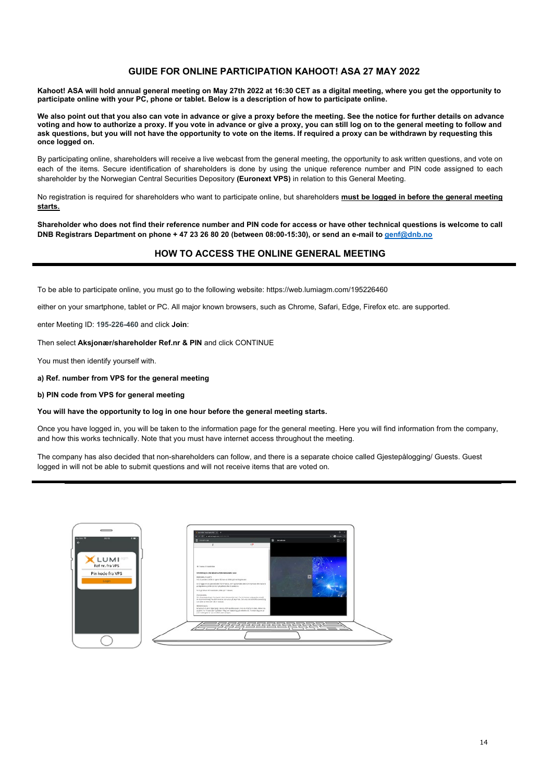## **GUIDE FOR ONLINE PARTICIPATION KAHOOT! ASA 27 MAY 2022**

**Kahoot! ASA will hold annual general meeting on May 27th 2022 at 16:30 CET as a digital meeting, where you get the opportunity to participate online with your PC, phone or tablet. Below is a description of how to participate online.**

**We also point out that you also can vote in advance or give a proxy before the meeting. See the notice for further details on advance voting and how to authorize a proxy. If you vote in advance or give a proxy, you can still log on to the general meeting to follow and ask questions, but you will not have the opportunity to vote on the items. If required a proxy can be withdrawn by requesting this once logged on.**

By participating online, shareholders will receive a live webcast from the general meeting, the opportunity to ask written questions, and vote on each of the items. Secure identification of shareholders is done by using the unique reference number and PIN code assigned to each shareholder by the Norwegian Central Securities Depository **(Euronext VPS)** in relation to this General Meeting.

No registration is required for shareholders who want to participate online, but shareholders **must be logged in before the general meeting starts.** 

**Shareholder who does not find their reference number and PIN code for access or have other technical questions is welcome to call DNB Registrars Department on phone + 47 23 26 80 20 (between 08:00-15:30), or send an e-mail t[o genf@dnb.no](mailto:genf@dnb.no)**

## **HOW TO ACCESS THE ONLINE GENERAL MEETING**

To be able to participate online, you must go to the following website: https://web.lumiagm.com/195226460

either on your smartphone, tablet or PC. All major known browsers, such as Chrome, Safari, Edge, Firefox etc. are supported.

enter Meeting ID: **195-226-460** and click **Join**:

Then select **Aksjonær/shareholder Ref.nr & PIN** and click CONTINUE

You must then identify yourself with.

**a) Ref. number from VPS for the general meeting**

**b) PIN code from VPS for general meeting**

**You will have the opportunity to log in one hour before the general meeting starts.**

Once you have logged in, you will be taken to the information page for the general meeting. Here you will find information from the company, and how this works technically. Note that you must have internet access throughout the meeting.

The company has also decided that non-shareholders can follow, and there is a separate choice called Gjestepålogging/ Guests. Guest logged in will not be able to submit questions and will not receive items that are voted on.